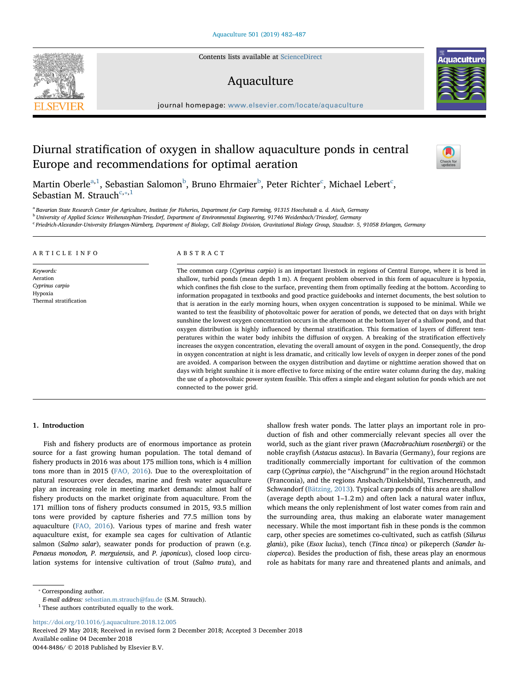Contents lists available at [ScienceDirect](http://www.sciencedirect.com/science/journal/00448486)

# Aquaculture

journal homepage: [www.elsevier.com/locate/aquaculture](https://www.elsevier.com/locate/aquaculture)

# Diurnal stratification of oxygen in shallow aquaculture ponds in central Europe and recommendations for optimal aeration

Martin O[b](#page-0-2)erle $\mathrm{^{a,1}}$  $\mathrm{^{a,1}}$  $\mathrm{^{a,1}}$  $\mathrm{^{a,1}}$ , Sebastian Salomon $\mathrm{^{b}}$ , Bruno Ehrmaier $\mathrm{^{b}}$ , Peter Ri[c](#page-0-3)hter $\mathrm{^{c}}$ , Michael Lebert $\mathrm{^{c}}$ , Sebastian M. Strau[c](#page-0-3)h<sup>c,\*,[1](#page-0-1)</sup>

<span id="page-0-2"></span><span id="page-0-0"></span><sup>a</sup> Bavarian State Research Center for Agriculture, Institute for Fisheries, Department for Carp Farming, 91315 Hoechstadt a. d. Aisch, Germany <sup>b</sup> University of Applied Science Weihenstephan-Triesdorf, Department of Environmental Engineering, 91746 Weidenbach/Triesdorf, Germany

<span id="page-0-3"></span>

<sup>c</sup> Friedrich-Alexander-University Erlangen-Nürnberg, Department of Biology, Cell Biology Division, Gravitational Biology Group, Staudtstr. 5, 91058 Erlangen, Germany

### ARTICLE INFO

Keywords: Aeration Cyprinus carpio Hypoxia Thermal stratification

#### ABSTRACT

The common carp (Cyprinus carpio) is an important livestock in regions of Central Europe, where it is bred in shallow, turbid ponds (mean depth 1 m). A frequent problem observed in this form of aquaculture is hypoxia, which confines the fish close to the surface, preventing them from optimally feeding at the bottom. According to information propagated in textbooks and good practice guidebooks and internet documents, the best solution to that is aeration in the early morning hours, when oxygen concentration is supposed to be minimal. While we wanted to test the feasibility of photovoltaic power for aeration of ponds, we detected that on days with bright sunshine the lowest oxygen concentration occurs in the afternoon at the bottom layer of a shallow pond, and that oxygen distribution is highly influenced by thermal stratification. This formation of layers of different temperatures within the water body inhibits the diffusion of oxygen. A breaking of the stratification effectively increases the oxygen concentration, elevating the overall amount of oxygen in the pond. Consequently, the drop in oxygen concentration at night is less dramatic, and critically low levels of oxygen in deeper zones of the pond are avoided. A comparison between the oxygen distribution and daytime or nighttime aeration showed that on days with bright sunshine it is more effective to force mixing of the entire water column during the day, making the use of a photovoltaic power system feasible. This offers a simple and elegant solution for ponds which are not connected to the power grid.

# 1. Introduction

Fish and fishery products are of enormous importance as protein source for a fast growing human population. The total demand of fishery products in 2016 was about 175 million tons, which is 4 million tons more than in 2015 ([FAO, 2016\)](#page-5-0). Due to the overexploitation of natural resources over decades, marine and fresh water aquaculture play an increasing role in meeting market demands: almost half of fishery products on the market originate from aquaculture. From the 171 million tons of fishery products consumed in 2015, 93.5 million tons were provided by capture fisheries and 77.5 million tons by aquaculture ([FAO, 2016\)](#page-5-0). Various types of marine and fresh water aquaculture exist, for example sea cages for cultivation of Atlantic salmon (Salmo salar), seawater ponds for production of prawn (e.g. Penaeus monodon, P. merguiensis, and P. japonicus), closed loop circulation systems for intensive cultivation of trout (Salmo truta), and shallow fresh water ponds. The latter plays an important role in production of fish and other commercially relevant species all over the world, such as the giant river prawn (Macrobrachium rosenbergii) or the noble crayfish (Astacus astacus). In Bavaria (Germany), four regions are traditionally commercially important for cultivation of the common carp (Cyprinus carpio), the "Aischgrund" in the region around Höchstadt (Franconia), and the regions Ansbach/Dinkelsbühl, Tirschenreuth, and Schwandorf [\(Bätzing, 2013\)](#page-5-1). Typical carp ponds of this area are shallow (average depth about 1–1.2 m) and often lack a natural water influx, which means the only replenishment of lost water comes from rain and the surrounding area, thus making an elaborate water management necessary. While the most important fish in these ponds is the common carp, other species are sometimes co-cultivated, such as catfish (Silurus glanis), pike (Esox lucius), tench (Tinca tinca) or pikeperch (Sander lucioperca). Besides the production of fish, these areas play an enormous role as habitats for many rare and threatened plants and animals, and

<span id="page-0-4"></span>⁎ Corresponding author.

<span id="page-0-1"></span> $^{\rm 1}$  These authors contributed equally to the work.

<https://doi.org/10.1016/j.aquaculture.2018.12.005>

Received 29 May 2018; Received in revised form 2 December 2018; Accepted 3 December 2018 Available online 04 December 2018

0044-8486/ © 2018 Published by Elsevier B.V.





 $\frac{1}{\sqrt{2}}$ 

E-mail address: [sebastian.m.strauch@fau.de](mailto:sebastian.m.strauch@fau.de) (S.M. Strauch).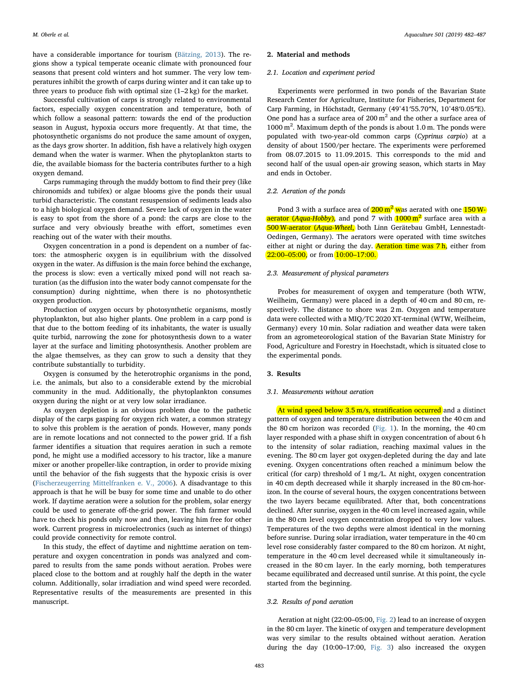have a considerable importance for tourism ([Bätzing, 2013\)](#page-5-1). The regions show a typical temperate oceanic climate with pronounced four seasons that present cold winters and hot summer. The very low temperatures inhibit the growth of carps during winter and it can take up to three years to produce fish with optimal size (1–2 kg) for the market.

Successful cultivation of carps is strongly related to environmental factors, especially oxygen concentration and temperature, both of which follow a seasonal pattern: towards the end of the production season in August, hypoxia occurs more frequently. At that time, the photosynthetic organisms do not produce the same amount of oxygen, as the days grow shorter. In addition, fish have a relatively high oxygen demand when the water is warmer. When the phytoplankton starts to die, the available biomass for the bacteria contributes further to a high oxygen demand.

Carps rummaging through the muddy bottom to find their prey (like chironomids and tubifex) or algae blooms give the ponds their usual turbid characteristic. The constant resuspension of sediments leads also to a high biological oxygen demand. Severe lack of oxygen in the water is easy to spot from the shore of a pond: the carps are close to the surface and very obviously breathe with effort, sometimes even reaching out of the water with their mouths.

Oxygen concentration in a pond is dependent on a number of factors: the atmospheric oxygen is in equilibrium with the dissolved oxygen in the water. As diffusion is the main force behind the exchange, the process is slow: even a vertically mixed pond will not reach saturation (as the diffusion into the water body cannot compensate for the consumption) during nighttime, when there is no photosynthetic oxygen production.

Production of oxygen occurs by photosynthetic organisms, mostly phytoplankton, but also higher plants. One problem in a carp pond is that due to the bottom feeding of its inhabitants, the water is usually quite turbid, narrowing the zone for photosynthesis down to a water layer at the surface and limiting photosynthesis. Another problem are the algae themselves, as they can grow to such a density that they contribute substantially to turbidity.

Oxygen is consumed by the heterotrophic organisms in the pond, i.e. the animals, but also to a considerable extend by the microbial community in the mud. Additionally, the phytoplankton consumes oxygen during the night or at very low solar irradiance.

As oxygen depletion is an obvious problem due to the pathetic display of the carps gasping for oxygen rich water, a common strategy to solve this problem is the aeration of ponds. However, many ponds are in remote locations and not connected to the power grid. If a fish farmer identifies a situation that requires aeration in such a remote pond, he might use a modified accessory to his tractor, like a manure mixer or another propeller-like contraption, in order to provide mixing until the behavior of the fish suggests that the hypoxic crisis is over ([Fischerzeugerring Mittelfranken e. V., 2006\)](#page-5-2). A disadvantage to this approach is that he will be busy for some time and unable to do other work. If daytime aeration were a solution for the problem, solar energy could be used to generate off-the-grid power. The fish farmer would have to check his ponds only now and then, leaving him free for other work. Current progress in microelectronics (such as internet of things) could provide connectivity for remote control.

In this study, the effect of daytime and nighttime aeration on temperature and oxygen concentration in ponds was analyzed and compared to results from the same ponds without aeration. Probes were placed close to the bottom and at roughly half the depth in the water column. Additionally, solar irradiation and wind speed were recorded. Representative results of the measurements are presented in this manuscript.

#### 2. Material and methods

## 2.1. Location and experiment period

Experiments were performed in two ponds of the Bavarian State Research Center for Agriculture, Institute for Fisheries, Department for Carp Farming, in Höchstadt, Germany (49°41′55.70″N, 10°48′0.05″E). One pond has a surface area of  $200 \text{ m}^2$  and the other a surface area of 1000 m<sup>2</sup>. Maximum depth of the ponds is about 1.0 m. The ponds were populated with two-year-old common carps (Cyprinus carpio) at a density of about 1500/per hectare. The experiments were perforemed from 08.07.2015 to 11.09.2015. This corresponds to the mid and second half of the usual open-air growing season, which starts in May and ends in October.

# 2.2. Aeration of the ponds

Pond 3 with a surface area of  $200 \text{ m}^2$  was aerated with one  $150 \text{ W}$ aerator (Aqua-Hobby), and pond 7 with 1000 m<sup>2</sup> surface area with a 500 W-aerator (Aqua-Wheel, both Linn Gerätebau GmbH, Lennestadt-Oedingen, Germany). The aerators were operated with time switches either at night or during the day. Aeration time was 7h, either from  $22:00-05:00$ , or from  $10:00-17:00$ .

# 2.3. Measurement of physical parameters

Probes for measurement of oxygen and temperature (both WTW, Weilheim, Germany) were placed in a depth of 40 cm and 80 cm, respectively. The distance to shore was 2 m. Oxygen and temperature data were collected with a MIQ/TC 2020 XT-terminal (WTW, Weilheim, Germany) every 10 min. Solar radiation and weather data were taken from an agrometeorological station of the Bavarian State Ministry for Food, Agriculture and Forestry in Hoechstadt, which is situated close to the experimental ponds.

# 3. Results

## 3.1. Measurements without aeration

At wind speed below 3.5 m/s, stratification occurred and a distinct pattern of oxygen and temperature distribution between the 40 cm and the 80 cm horizon was recorded ([Fig. 1](#page-2-0)). In the morning, the 40 cm layer responded with a phase shift in oxygen concentration of about 6 h to the intensity of solar radiation, reaching maximal values in the evening. The 80 cm layer got oxygen-depleted during the day and late evening. Oxygen concentrations often reached a minimum below the critical (for carp) threshold of 1 mg/L. At night, oxygen concentration in 40 cm depth decreased while it sharply increased in the 80 cm-horizon. In the course of several hours, the oxygen concentrations between the two layers became equilibrated. After that, both concentrations declined. After sunrise, oxygen in the 40 cm level increased again, while in the 80 cm level oxygen concentration dropped to very low values. Temperatures of the two depths were almost identical in the morning before sunrise. During solar irradiation, water temperature in the 40 cm level rose considerably faster compared to the 80 cm horizon. At night, temperature in the 40 cm level decreased while it simultaneously increased in the 80 cm layer. In the early morning, both temperatures became equilibrated and decreased until sunrise. At this point, the cycle started from the beginning.

#### 3.2. Results of pond aeration

Aeration at night (22:00–05:00, [Fig. 2\)](#page-2-1) lead to an increase of oxygen in the 80 cm layer. The kinetic of oxygen and temperature development was very similar to the results obtained without aeration. Aeration during the day (10:00–17:00, [Fig. 3\)](#page-3-0) also increased the oxygen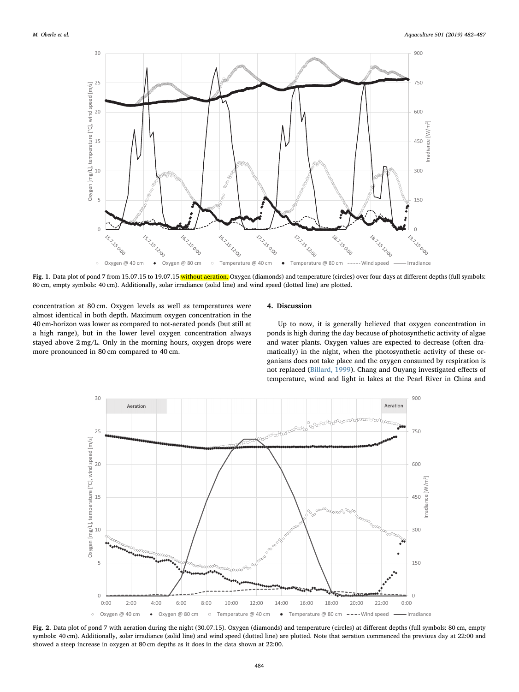<span id="page-2-0"></span>

Fig. 1. Data plot of pond 7 from 15.07.15 to 19.07.15 without aeration. Oxygen (diamonds) and temperature (circles) over four days at different depths (full symbols: 80 cm, empty symbols: 40 cm). Additionally, solar irradiance (solid line) and wind speed (dotted line) are plotted.

concentration at 80 cm. Oxygen levels as well as temperatures were almost identical in both depth. Maximum oxygen concentration in the 40 cm-horizon was lower as compared to not-aerated ponds (but still at a high range), but in the lower level oxygen concentration always stayed above 2 mg/L. Only in the morning hours, oxygen drops were more pronounced in 80 cm compared to 40 cm.

## 4. Discussion

Up to now, it is generally believed that oxygen concentration in ponds is high during the day because of photosynthetic activity of algae and water plants. Oxygen values are expected to decrease (often dramatically) in the night, when the photosynthetic activity of these organisms does not take place and the oxygen consumed by respiration is not replaced [\(Billard, 1999](#page-5-3)). Chang and Ouyang investigated effects of temperature, wind and light in lakes at the Pearl River in China and

<span id="page-2-1"></span>

Fig. 2. Data plot of pond 7 with aeration during the night (30.07.15). Oxygen (diamonds) and temperature (circles) at different depths (full symbols: 80 cm, empty symbols: 40 cm). Additionally, solar irradiance (solid line) and wind speed (dotted line) are plotted. Note that aeration commenced the previous day at 22:00 and showed a steep increase in oxygen at 80 cm depths as it does in the data shown at 22:00.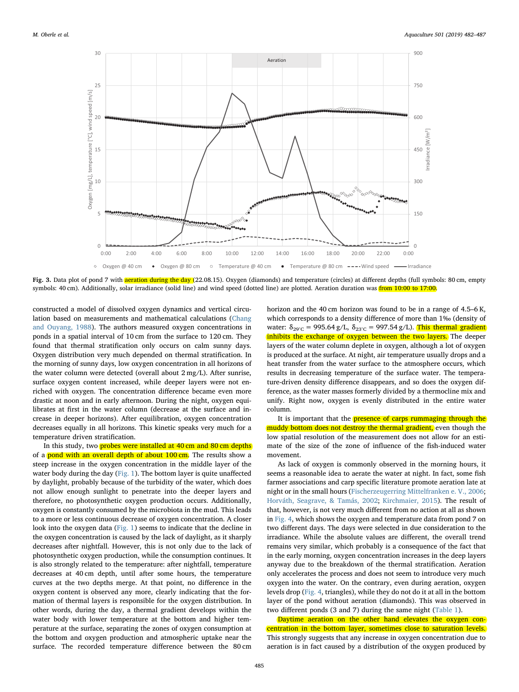<span id="page-3-0"></span>

Fig. 3. Data plot of pond 7 with aeration during the day (22.08.15). Oxygen (diamonds) and temperature (circles) at different depths (full symbols: 80 cm, empty symbols: 40 cm). Additionally, solar irradiance (solid line) and wind speed (dotted line) are plotted. Aeration duration was **from 10:00 to 17:00**.

constructed a model of dissolved oxygen dynamics and vertical circulation based on measurements and mathematical calculations [\(Chang](#page-5-4) [and Ouyang, 1988](#page-5-4)). The authors measured oxygen concentrations in ponds in a spatial interval of 10 cm from the surface to 120 cm. They found that thermal stratification only occurs on calm sunny days. Oxygen distribution very much depended on thermal stratification. In the morning of sunny days, low oxygen concentration in all horizons of the water column were detected (overall about 2 mg/L). After sunrise, surface oxygen content increased, while deeper layers were not enriched with oxygen. The concentration difference became even more drastic at noon and in early afternoon. During the night, oxygen equilibrates at first in the water column (decrease at the surface and increase in deeper horizons). After equilibration, oxygen concentration decreases equally in all horizons. This kinetic speaks very much for a temperature driven stratification.

In this study, two **probes were installed at 40 cm and 80 cm depths** of a **pond with an overall depth of about 100 cm.** The results show a steep increase in the oxygen concentration in the middle layer of the water body during the day [\(Fig. 1\)](#page-2-0). The bottom layer is quite unaffected by daylight, probably because of the turbidity of the water, which does not allow enough sunlight to penetrate into the deeper layers and therefore, no photosynthetic oxygen production occurs. Additionally, oxygen is constantly consumed by the microbiota in the mud. This leads to a more or less continuous decrease of oxygen concentration. A closer look into the oxygen data [\(Fig. 1](#page-2-0)) seems to indicate that the decline in the oxygen concentration is caused by the lack of daylight, as it sharply decreases after nightfall. However, this is not only due to the lack of photosynthetic oxygen production, while the consumption continues. It is also strongly related to the temperature: after nightfall, temperature decreases at 40 cm depth, until after some hours, the temperature curves at the two depths merge. At that point, no difference in the oxygen content is observed any more, clearly indicating that the formation of thermal layers is responsible for the oxygen distribution. In other words, during the day, a thermal gradient develops within the water body with lower temperature at the bottom and higher temperature at the surface, separating the zones of oxygen consumption at the bottom and oxygen production and atmospheric uptake near the surface. The recorded temperature difference between the 80 cm

horizon and the 40 cm horizon was found to be in a range of 4.5–6 K, which corresponds to a density difference of more than 1‰ (density of water:  $\delta_{29\degree C}$  = 995.64 g/L,  $\delta_{23\degree C}$  = 997.54 g/L). This thermal gradient inhibits the exchange of oxygen between the two layers. The deeper layers of the water column deplete in oxygen, although a lot of oxygen is produced at the surface. At night, air temperature usually drops and a heat transfer from the water surface to the atmosphere occurs, which results in decreasing temperature of the surface water. The temperature-driven density difference disappears, and so does the oxygen difference, as the water masses formerly divided by a thermocline mix and unify. Right now, oxygen is evenly distributed in the entire water column.

It is important that the **presence of carps rummaging through the** muddy bottom does not destroy the thermal gradient, even though the low spatial resolution of the measurement does not allow for an estimate of the size of the zone of influence of the fish-induced water movement.

As lack of oxygen is commonly observed in the morning hours, it seems a reasonable idea to aerate the water at night. In fact, some fish farmer associations and carp specific literature promote aeration late at night or in the small hours [\(Fischerzeugerring Mittelfranken e. V., 2006](#page-5-2); [Horváth, Seagrave, & Tamás, 2002;](#page-5-5) [Kirchmaier, 2015](#page-5-6)). The result of that, however, is not very much different from no action at all as shown in [Fig. 4](#page-4-0), which shows the oxygen and temperature data from pond 7 on two different days. The days were selected in due consideration to the irradiance. While the absolute values are different, the overall trend remains very similar, which probably is a consequence of the fact that in the early morning, oxygen concentration increases in the deep layers anyway due to the breakdown of the thermal stratification. Aeration only accelerates the process and does not seem to introduce very much oxygen into the water. On the contrary, even during aeration, oxygen levels drop ([Fig. 4](#page-4-0), triangles), while they do not do it at all in the bottom layer of the pond without aeration (diamonds). This was observed in two different ponds (3 and 7) during the same night ([Table 1](#page-4-1)).

Daytime aeration on the other hand elevates the oxygen concentration in the bottom layer, sometimes close to saturation levels. This strongly suggests that any increase in oxygen concentration due to aeration is in fact caused by a distribution of the oxygen produced by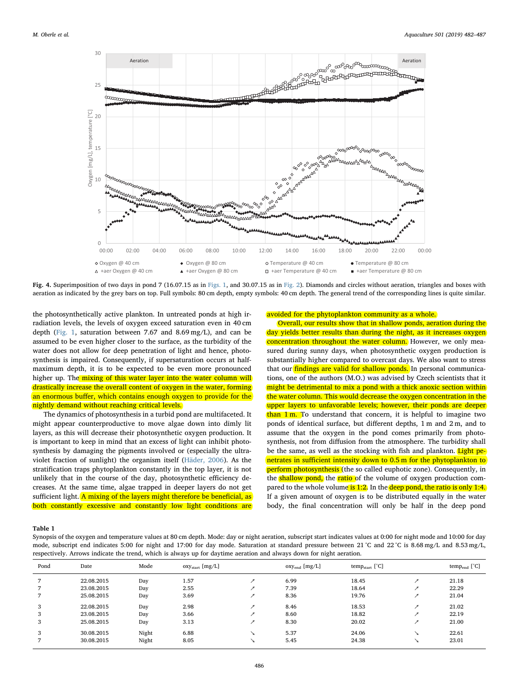<span id="page-4-0"></span>

Fig. 4. Superimposition of two days in pond 7 (16.07.15 as in [Figs. 1,](#page-2-0) and 30.07.15 as in [Fig. 2](#page-2-1)). Diamonds and circles without aeration, triangles and boxes with aeration as indicated by the grey bars on top. Full symbols: 80 cm depth, empty symbols: 40 cm depth. The general trend of the corresponding lines is quite similar.

the photosynthetically active plankton. In untreated ponds at high irradiation levels, the levels of oxygen exceed saturation even in 40 cm depth ([Fig. 1](#page-2-0), saturation between 7.67 and 8.69 mg/L), and can be assumed to be even higher closer to the surface, as the turbidity of the water does not allow for deep penetration of light and hence, photosynthesis is impaired. Consequently, if supersaturation occurs at halfmaximum depth, it is to be expected to be even more pronounced higher up. The mixing of this water layer into the water column will drastically increase the overall content of oxygen in the water, forming an enormous buffer, which contains enough oxygen to provide for the nightly demand without reaching critical levels.

The dynamics of photosynthesis in a turbid pond are multifaceted. It might appear counterproductive to move algae down into dimly lit layers, as this will decrease their photosynthetic oxygen production. It is important to keep in mind that an excess of light can inhibit photosynthesis by damaging the pigments involved or (especially the ultraviolet fraction of sunlight) the organism itself ([Häder, 2006\)](#page-5-7). As the stratification traps phytoplankton constantly in the top layer, it is not unlikely that in the course of the day, photosynthetic efficiency decreases. At the same time, algae trapped in deeper layers do not get sufficient light. A mixing of the layers might therefore be beneficial, as both constantly excessive and constantly low light conditions are avoided for the phytoplankton community as a whole.

Overall, our results show that in shallow ponds, aeration during the day yields better results than during the night, as it increases oxygen concentration throughout the water column. However, we only measured during sunny days, when photosynthetic oxygen production is substantially higher compared to overcast days. We also want to stress that our findings are valid for shallow ponds. In personal communications, one of the authors (M.O.) was advised by Czech scientists that it might be detrimental to mix a pond with a thick anoxic section within the water column. This would decrease the oxygen concentration in the upper layers to unfavorable levels; however, their ponds are deeper than 1 m. To understand that concern, it is helpful to imagine two ponds of identical surface, but different depths, 1 m and 2 m, and to assume that the oxygen in the pond comes primarily from photosynthesis, not from diffusion from the atmosphere. The turbidity shall be the same, as well as the stocking with fish and plankton. Light penetrates in sufficient intensity down to 0.5 m for the phytoplankton to perform photosynthesis (the so called euphotic zone). Consequently, in the shallow pond, the ratio of the volume of oxygen production compared to the whole volume is 1:2. In the deep pond, the ratio is only 1:4. If a given amount of oxygen is to be distributed equally in the water body, the final concentration will only be half in the deep pond

<span id="page-4-1"></span>Table 1

Synopsis of the oxygen and temperature values at 80 cm depth. Mode: day or night aeration, subscript start indicates values at 0:00 for night mode and 10:00 for day mode, subscript end indicates 5:00 for night and 17:00 for day mode. Saturation at standard pressure between 21 °C and 22 °C is 8.68 mg/L and 8.53 mg/L, respectively. Arrows indicate the trend, which is always up for daytime aeration and always down for night aeration.

| Pond | Date       | Mode  | $oxystart$ [mg/L] | $oxy_{end}$ [mg/L] | temp <sub>start</sub> $[^{\circ}C]$ |    | temp <sub>end</sub> $[°C]$ |
|------|------------|-------|-------------------|--------------------|-------------------------------------|----|----------------------------|
| 7    | 22.08.2015 | Day   | 1.57              | 6.99               | 18.45                               |    | 21.18                      |
| 7    | 23.08.2015 | Day   | 2.55              | 7.39               | 18.64                               |    | 22.29                      |
| 7    | 25.08.2015 | Day   | 3.69              | 8.36               | 19.76                               |    | 21.04                      |
| 3    | 22.08.2015 | Day   | 2.98              | 8.46               | 18.53                               | z. | 21.02                      |
| 3    | 23.08.2015 | Day   | 3.66              | 8.60               | 18.82                               |    | 22.19                      |
| 3    | 25.08.2015 | Day   | 3.13              | 8.30               | 20.02                               |    | 21.00                      |
| 3    | 30.08.2015 | Night | 6.88              | 5.37               | 24.06                               |    | 22.61                      |
| 7    | 30.08.2015 | Night | 8.05              | 5.45               | 24.38                               |    | 23.01                      |